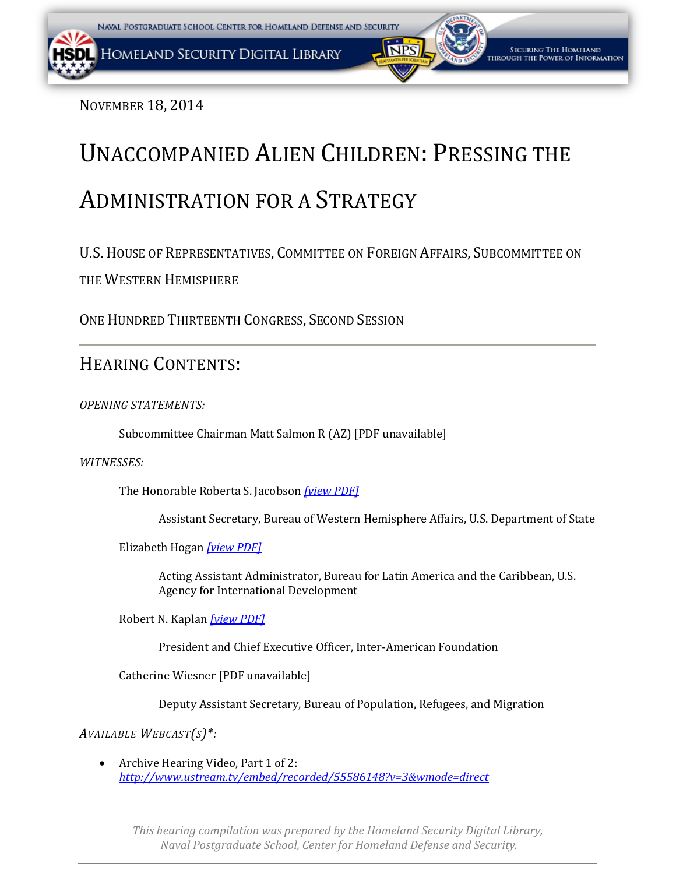NOVEMBER 18, 2014

# UNACCOMPANIED ALIEN CHILDREN: PRESSING THE ADMINISTRATION FOR A STRATEGY

U.S.HOUSE OF REPRESENTATIVES, COMMITTEE ON FOREIGN AFFAIRS, SUBCOMMITTEE ON

THE WESTERN HEMISPHERE

ONE HUNDRED THIRTEENTH CONGRESS, SECOND SESSION

# HEARING CONTENTS:

*OPENING STATEMENTS:*

Subcommittee Chairman Matt Salmon R (AZ) [PDF unavailable]

*WITNESSES:*

The Honorable Roberta S. Jacobson *[\[view PDF\]](#page-2-0)*

Assistant Secretary, Bureau of Western Hemisphere Affairs, U.S. Department of State

Elizabeth Hogan *[\[view PDF\]](#page-7-0)*

Acting Assistant Administrator, Bureau for Latin America and the Caribbean, U.S. Agency for International Development

Robert N. Kaplan *[\[view PDF\]](#page-15-0)*

President and Chief Executive Officer, Inter-American Foundation

Catherine Wiesner [PDF unavailable]

Deputy Assistant Secretary, Bureau of Population, Refugees, and Migration

*AVAILABLE WEBCAST(S)\*:*

• Archive Hearing Video, Part 1 of 2: *<http://www.ustream.tv/embed/recorded/55586148?v=3&wmode=direct>*

*This hearing compilation was prepared by the Homeland Security Digital Library, Naval Postgraduate School, Center for Homeland Defense and Security.*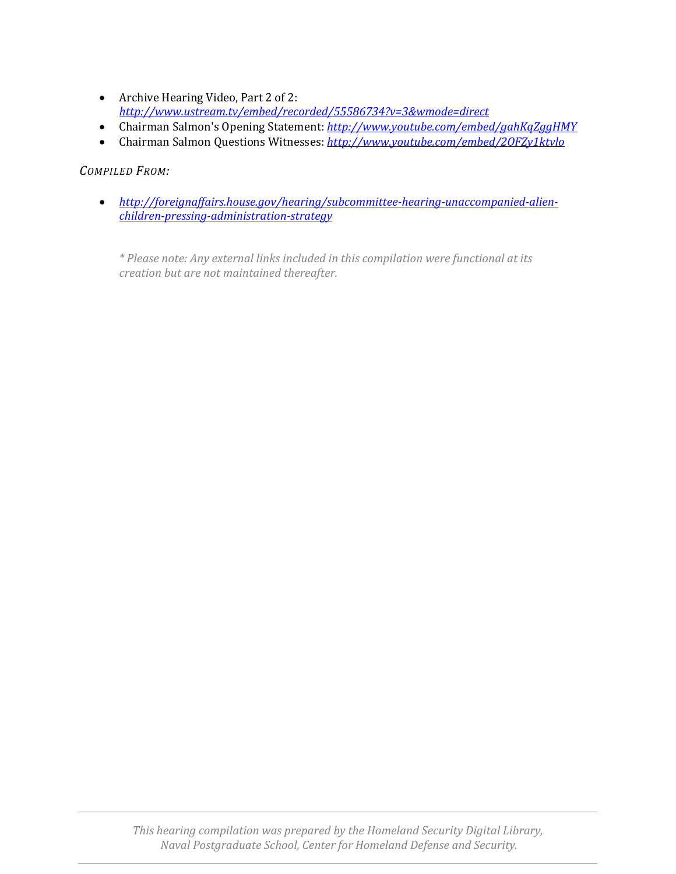- Archive Hearing Video, Part 2 of 2: *<http://www.ustream.tv/embed/recorded/55586734?v=3&wmode=direct>*
- Chairman Salmon's Opening Statement: *<http://www.youtube.com/embed/gahKqZggHMY>*
- Chairman Salmon Questions Witnesses: *<http://www.youtube.com/embed/2OFZy1ktvlo>*

#### *COMPILED FROM:*

• *[http://foreignaffairs.house.gov/hearing/subcommittee-hearing-unaccompanied-alien](http://foreignaffairs.house.gov/hearing/subcommittee-hearing-unaccompanied-alien-children-pressing-administration-strategy)[children-pressing-administration-strategy](http://foreignaffairs.house.gov/hearing/subcommittee-hearing-unaccompanied-alien-children-pressing-administration-strategy)*

*\* Please note: Any external links included in this compilation were functional at its creation but are not maintained thereafter.*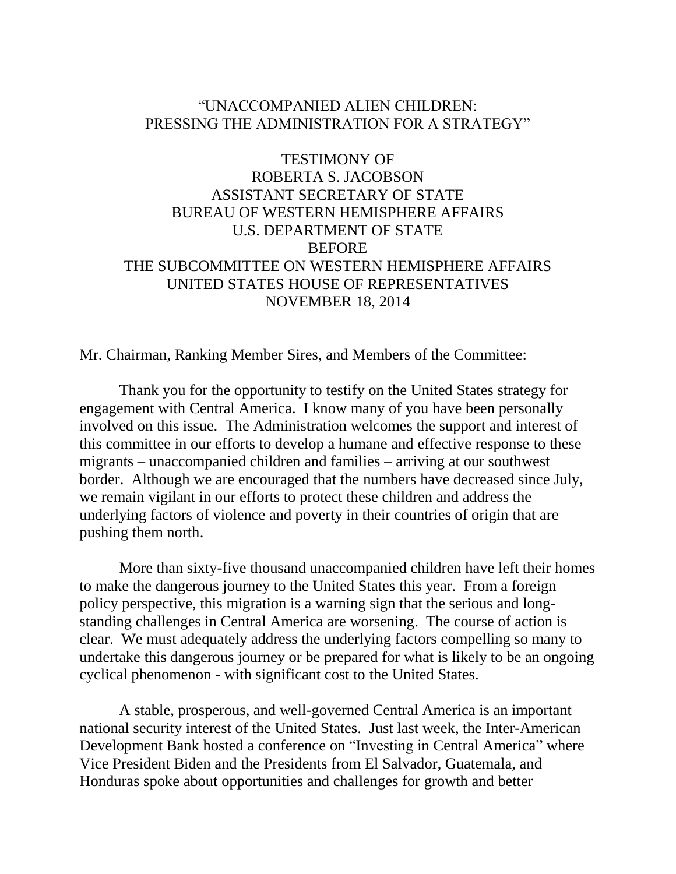### <span id="page-2-0"></span>"UNACCOMPANIED ALIEN CHILDREN: PRESSING THE ADMINISTRATION FOR A STRATEGY"

# TESTIMONY OF ROBERTA S. JACOBSON ASSISTANT SECRETARY OF STATE BUREAU OF WESTERN HEMISPHERE AFFAIRS U.S. DEPARTMENT OF STATE BEFORE THE SUBCOMMITTEE ON WESTERN HEMISPHERE AFFAIRS UNITED STATES HOUSE OF REPRESENTATIVES NOVEMBER 18, 2014

Mr. Chairman, Ranking Member Sires, and Members of the Committee:

Thank you for the opportunity to testify on the United States strategy for engagement with Central America. I know many of you have been personally involved on this issue. The Administration welcomes the support and interest of this committee in our efforts to develop a humane and effective response to these migrants – unaccompanied children and families – arriving at our southwest border. Although we are encouraged that the numbers have decreased since July, we remain vigilant in our efforts to protect these children and address the underlying factors of violence and poverty in their countries of origin that are pushing them north.

More than sixty-five thousand unaccompanied children have left their homes to make the dangerous journey to the United States this year. From a foreign policy perspective, this migration is a warning sign that the serious and longstanding challenges in Central America are worsening. The course of action is clear. We must adequately address the underlying factors compelling so many to undertake this dangerous journey or be prepared for what is likely to be an ongoing cyclical phenomenon - with significant cost to the United States.

A stable, prosperous, and well-governed Central America is an important national security interest of the United States. Just last week, the Inter-American Development Bank hosted a conference on "Investing in Central America" where Vice President Biden and the Presidents from El Salvador, Guatemala, and Honduras spoke about opportunities and challenges for growth and better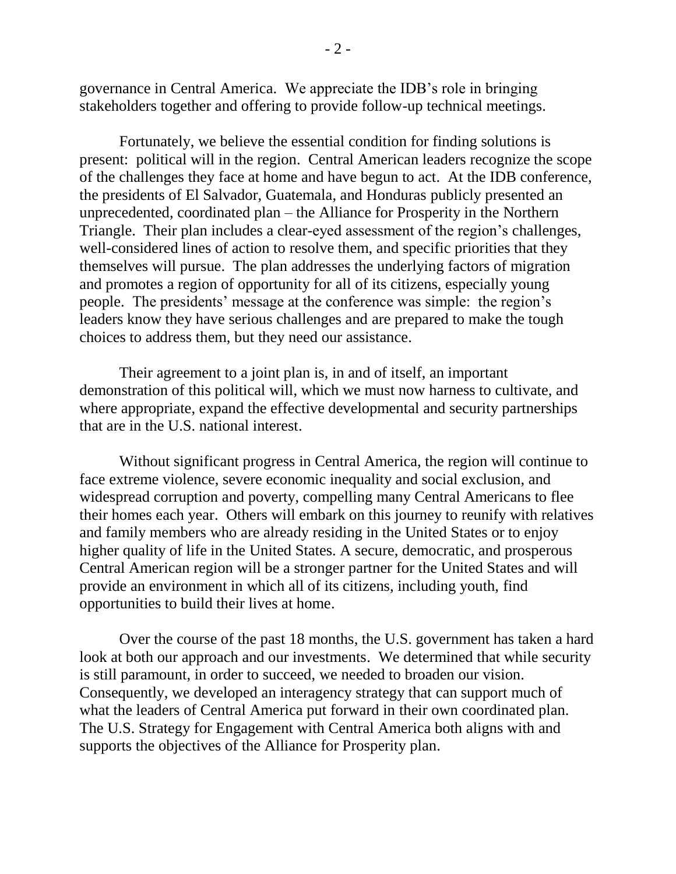governance in Central America. We appreciate the IDB's role in bringing stakeholders together and offering to provide follow-up technical meetings.

Fortunately, we believe the essential condition for finding solutions is present: political will in the region. Central American leaders recognize the scope of the challenges they face at home and have begun to act. At the IDB conference, the presidents of El Salvador, Guatemala, and Honduras publicly presented an unprecedented, coordinated plan – the Alliance for Prosperity in the Northern Triangle. Their plan includes a clear-eyed assessment of the region's challenges, well-considered lines of action to resolve them, and specific priorities that they themselves will pursue. The plan addresses the underlying factors of migration and promotes a region of opportunity for all of its citizens, especially young people. The presidents' message at the conference was simple: the region's leaders know they have serious challenges and are prepared to make the tough choices to address them, but they need our assistance.

Their agreement to a joint plan is, in and of itself, an important demonstration of this political will, which we must now harness to cultivate, and where appropriate, expand the effective developmental and security partnerships that are in the U.S. national interest.

Without significant progress in Central America, the region will continue to face extreme violence, severe economic inequality and social exclusion, and widespread corruption and poverty, compelling many Central Americans to flee their homes each year. Others will embark on this journey to reunify with relatives and family members who are already residing in the United States or to enjoy higher quality of life in the United States. A secure, democratic, and prosperous Central American region will be a stronger partner for the United States and will provide an environment in which all of its citizens, including youth, find opportunities to build their lives at home.

Over the course of the past 18 months, the U.S. government has taken a hard look at both our approach and our investments. We determined that while security is still paramount, in order to succeed, we needed to broaden our vision. Consequently, we developed an interagency strategy that can support much of what the leaders of Central America put forward in their own coordinated plan. The U.S. Strategy for Engagement with Central America both aligns with and supports the objectives of the Alliance for Prosperity plan.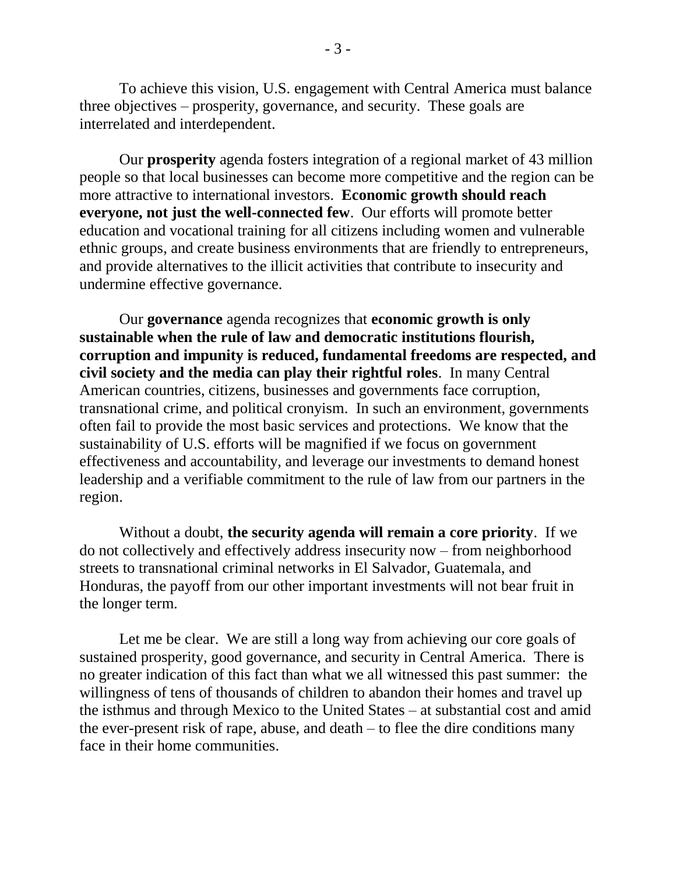To achieve this vision, U.S. engagement with Central America must balance three objectives – prosperity, governance, and security. These goals are interrelated and interdependent.

Our **prosperity** agenda fosters integration of a regional market of 43 million people so that local businesses can become more competitive and the region can be more attractive to international investors. **Economic growth should reach everyone, not just the well-connected few**. Our efforts will promote better education and vocational training for all citizens including women and vulnerable ethnic groups, and create business environments that are friendly to entrepreneurs, and provide alternatives to the illicit activities that contribute to insecurity and undermine effective governance.

Our **governance** agenda recognizes that **economic growth is only sustainable when the rule of law and democratic institutions flourish, corruption and impunity is reduced, fundamental freedoms are respected, and civil society and the media can play their rightful roles**. In many Central American countries, citizens, businesses and governments face corruption, transnational crime, and political cronyism. In such an environment, governments often fail to provide the most basic services and protections. We know that the sustainability of U.S. efforts will be magnified if we focus on government effectiveness and accountability, and leverage our investments to demand honest leadership and a verifiable commitment to the rule of law from our partners in the region.

Without a doubt, **the security agenda will remain a core priority**. If we do not collectively and effectively address insecurity now – from neighborhood streets to transnational criminal networks in El Salvador, Guatemala, and Honduras, the payoff from our other important investments will not bear fruit in the longer term.

Let me be clear. We are still a long way from achieving our core goals of sustained prosperity, good governance, and security in Central America. There is no greater indication of this fact than what we all witnessed this past summer: the willingness of tens of thousands of children to abandon their homes and travel up the isthmus and through Mexico to the United States – at substantial cost and amid the ever-present risk of rape, abuse, and death – to flee the dire conditions many face in their home communities.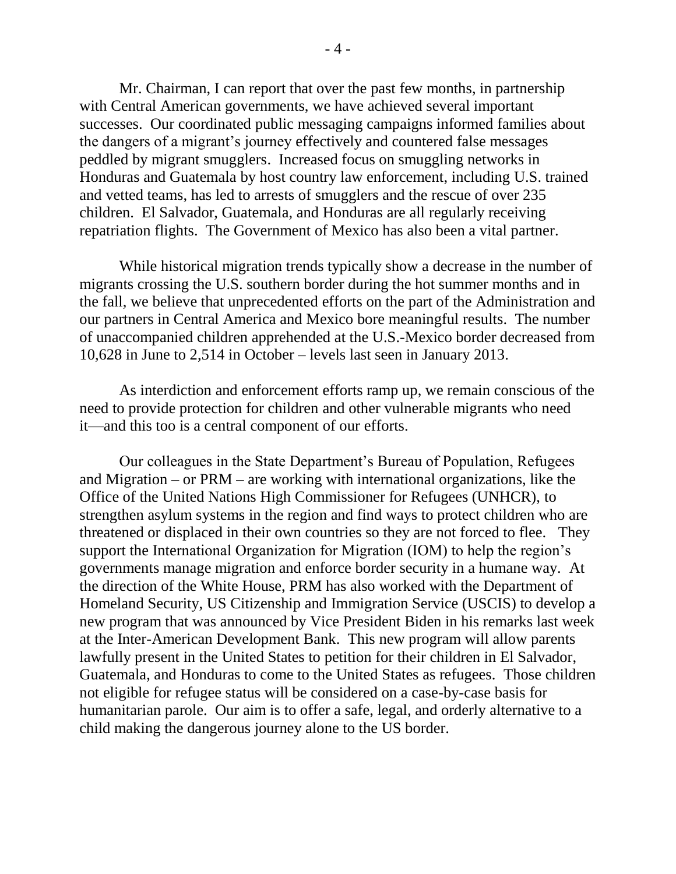Mr. Chairman, I can report that over the past few months, in partnership with Central American governments, we have achieved several important successes. Our coordinated public messaging campaigns informed families about the dangers of a migrant's journey effectively and countered false messages peddled by migrant smugglers. Increased focus on smuggling networks in Honduras and Guatemala by host country law enforcement, including U.S. trained and vetted teams, has led to arrests of smugglers and the rescue of over 235 children. El Salvador, Guatemala, and Honduras are all regularly receiving repatriation flights. The Government of Mexico has also been a vital partner.

While historical migration trends typically show a decrease in the number of migrants crossing the U.S. southern border during the hot summer months and in the fall, we believe that unprecedented efforts on the part of the Administration and our partners in Central America and Mexico bore meaningful results. The number of unaccompanied children apprehended at the U.S.-Mexico border decreased from 10,628 in June to 2,514 in October – levels last seen in January 2013.

As interdiction and enforcement efforts ramp up, we remain conscious of the need to provide protection for children and other vulnerable migrants who need it—and this too is a central component of our efforts.

Our colleagues in the State Department's Bureau of Population, Refugees and Migration – or PRM – are working with international organizations, like the Office of the United Nations High Commissioner for Refugees (UNHCR), to strengthen asylum systems in the region and find ways to protect children who are threatened or displaced in their own countries so they are not forced to flee. They support the International Organization for Migration (IOM) to help the region's governments manage migration and enforce border security in a humane way. At the direction of the White House, PRM has also worked with the Department of Homeland Security, US Citizenship and Immigration Service (USCIS) to develop a new program that was announced by Vice President Biden in his remarks last week at the Inter-American Development Bank. This new program will allow parents lawfully present in the United States to petition for their children in El Salvador, Guatemala, and Honduras to come to the United States as refugees. Those children not eligible for refugee status will be considered on a case-by-case basis for humanitarian parole. Our aim is to offer a safe, legal, and orderly alternative to a child making the dangerous journey alone to the US border.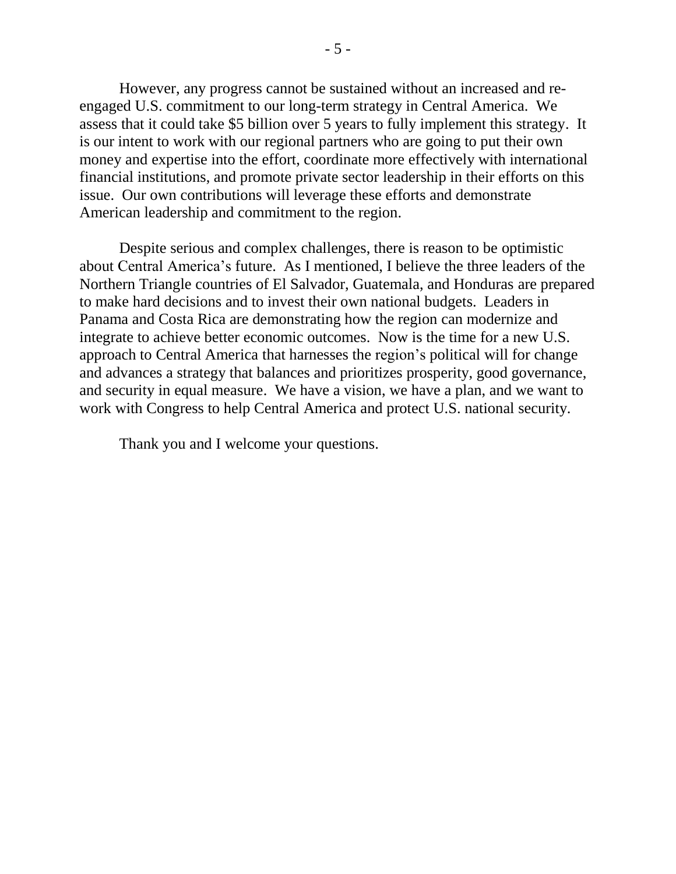However, any progress cannot be sustained without an increased and reengaged U.S. commitment to our long-term strategy in Central America. We assess that it could take \$5 billion over 5 years to fully implement this strategy. It is our intent to work with our regional partners who are going to put their own money and expertise into the effort, coordinate more effectively with international financial institutions, and promote private sector leadership in their efforts on this issue. Our own contributions will leverage these efforts and demonstrate American leadership and commitment to the region.

Despite serious and complex challenges, there is reason to be optimistic about Central America's future. As I mentioned, I believe the three leaders of the Northern Triangle countries of El Salvador, Guatemala, and Honduras are prepared to make hard decisions and to invest their own national budgets. Leaders in Panama and Costa Rica are demonstrating how the region can modernize and integrate to achieve better economic outcomes. Now is the time for a new U.S. approach to Central America that harnesses the region's political will for change and advances a strategy that balances and prioritizes prosperity, good governance, and security in equal measure. We have a vision, we have a plan, and we want to work with Congress to help Central America and protect U.S. national security.

Thank you and I welcome your questions.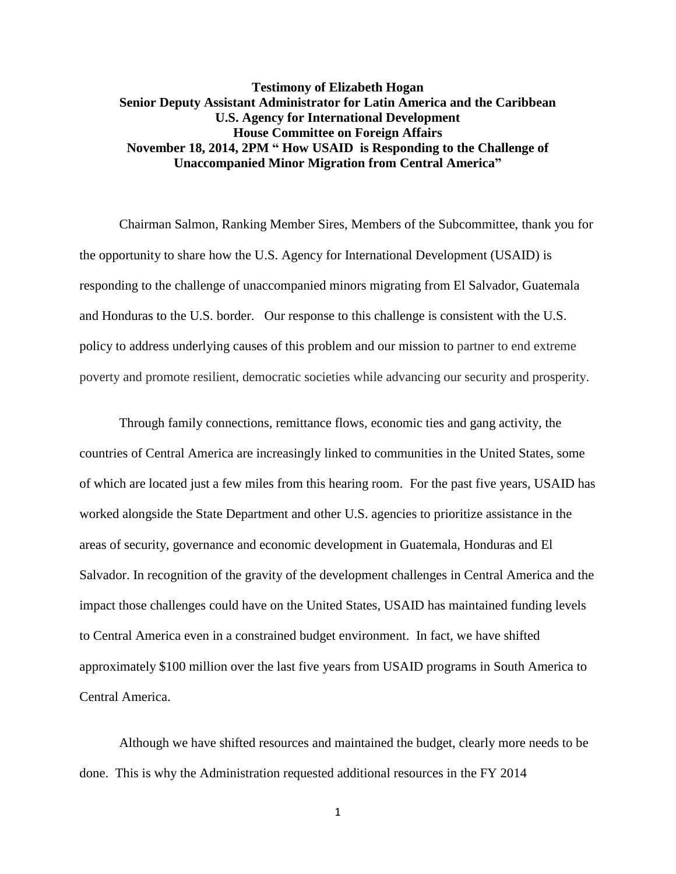#### <span id="page-7-0"></span>**Testimony of Elizabeth Hogan Senior Deputy Assistant Administrator for Latin America and the Caribbean U.S. Agency for International Development House Committee on Foreign Affairs November 18, 2014, 2PM " How USAID is Responding to the Challenge of Unaccompanied Minor Migration from Central America"**

Chairman Salmon, Ranking Member Sires, Members of the Subcommittee, thank you for the opportunity to share how the U.S. Agency for International Development (USAID) is responding to the challenge of unaccompanied minors migrating from El Salvador, Guatemala and Honduras to the U.S. border. Our response to this challenge is consistent with the U.S. policy to address underlying causes of this problem and our mission to partner to end extreme poverty and promote resilient, democratic societies while advancing our security and prosperity.

Through family connections, remittance flows, economic ties and gang activity, the countries of Central America are increasingly linked to communities in the United States, some of which are located just a few miles from this hearing room. For the past five years, USAID has worked alongside the State Department and other U.S. agencies to prioritize assistance in the areas of security, governance and economic development in Guatemala, Honduras and El Salvador. In recognition of the gravity of the development challenges in Central America and the impact those challenges could have on the United States, USAID has maintained funding levels to Central America even in a constrained budget environment. In fact, we have shifted approximately \$100 million over the last five years from USAID programs in South America to Central America.

Although we have shifted resources and maintained the budget, clearly more needs to be done. This is why the Administration requested additional resources in the FY 2014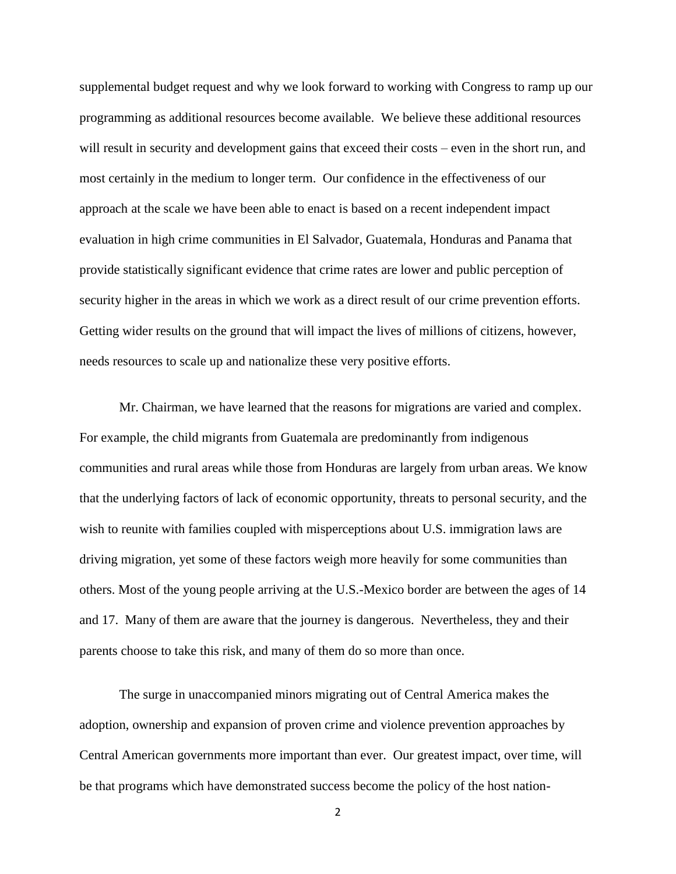supplemental budget request and why we look forward to working with Congress to ramp up our programming as additional resources become available. We believe these additional resources will result in security and development gains that exceed their costs – even in the short run, and most certainly in the medium to longer term. Our confidence in the effectiveness of our approach at the scale we have been able to enact is based on a recent independent impact evaluation in high crime communities in El Salvador, Guatemala, Honduras and Panama that provide statistically significant evidence that crime rates are lower and public perception of security higher in the areas in which we work as a direct result of our crime prevention efforts. Getting wider results on the ground that will impact the lives of millions of citizens, however, needs resources to scale up and nationalize these very positive efforts.

Mr. Chairman, we have learned that the reasons for migrations are varied and complex. For example, the child migrants from Guatemala are predominantly from indigenous communities and rural areas while those from Honduras are largely from urban areas. We know that the underlying factors of lack of economic opportunity, threats to personal security, and the wish to reunite with families coupled with misperceptions about U.S. immigration laws are driving migration, yet some of these factors weigh more heavily for some communities than others. Most of the young people arriving at the U.S.-Mexico border are between the ages of 14 and 17. Many of them are aware that the journey is dangerous. Nevertheless, they and their parents choose to take this risk, and many of them do so more than once.

The surge in unaccompanied minors migrating out of Central America makes the adoption, ownership and expansion of proven crime and violence prevention approaches by Central American governments more important than ever. Our greatest impact, over time, will be that programs which have demonstrated success become the policy of the host nation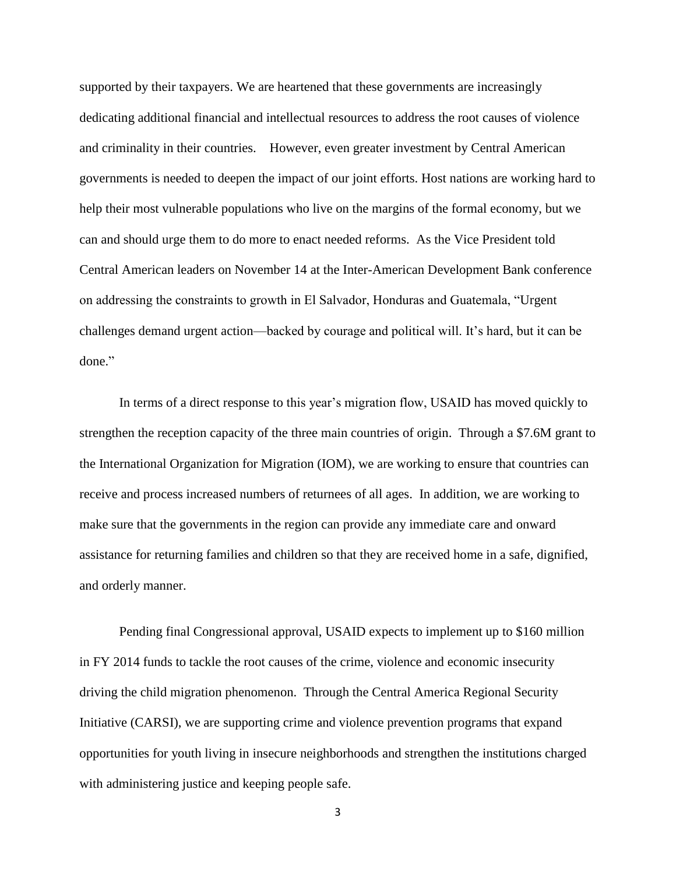supported by their taxpayers. We are heartened that these governments are increasingly dedicating additional financial and intellectual resources to address the root causes of violence and criminality in their countries. However, even greater investment by Central American governments is needed to deepen the impact of our joint efforts. Host nations are working hard to help their most vulnerable populations who live on the margins of the formal economy, but we can and should urge them to do more to enact needed reforms. As the Vice President told Central American leaders on November 14 at the Inter-American Development Bank conference on addressing the constraints to growth in El Salvador, Honduras and Guatemala, "Urgent challenges demand urgent action—backed by courage and political will. It's hard, but it can be done."

In terms of a direct response to this year's migration flow, USAID has moved quickly to strengthen the reception capacity of the three main countries of origin. Through a \$7.6M grant to the International Organization for Migration (IOM), we are working to ensure that countries can receive and process increased numbers of returnees of all ages. In addition, we are working to make sure that the governments in the region can provide any immediate care and onward assistance for returning families and children so that they are received home in a safe, dignified, and orderly manner.

Pending final Congressional approval, USAID expects to implement up to \$160 million in FY 2014 funds to tackle the root causes of the crime, violence and economic insecurity driving the child migration phenomenon. Through the Central America Regional Security Initiative (CARSI), we are supporting crime and violence prevention programs that expand opportunities for youth living in insecure neighborhoods and strengthen the institutions charged with administering justice and keeping people safe.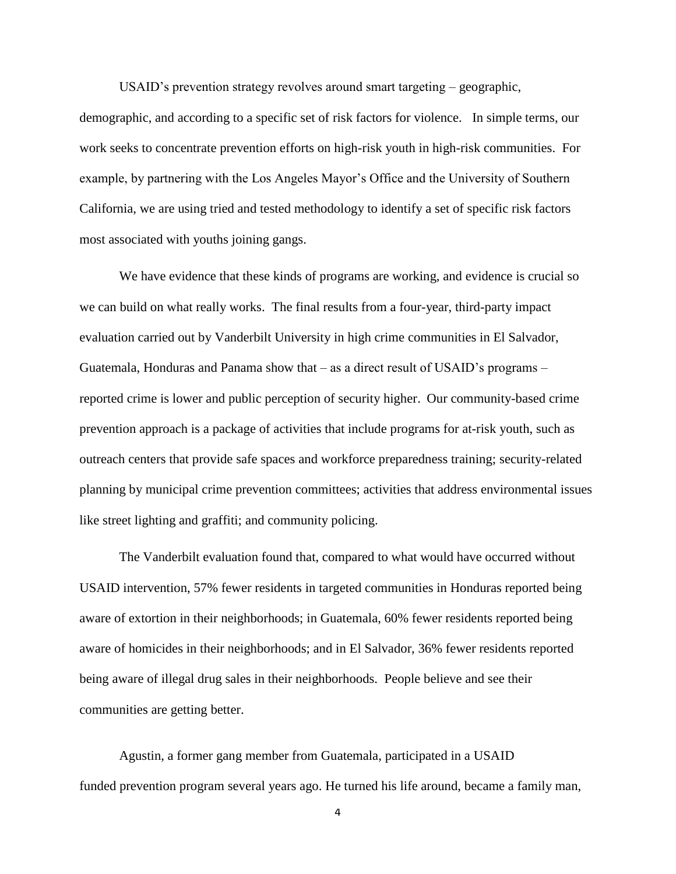USAID's prevention strategy revolves around smart targeting – geographic,

demographic, and according to a specific set of risk factors for violence. In simple terms, our work seeks to concentrate prevention efforts on high-risk youth in high-risk communities. For example, by partnering with the Los Angeles Mayor's Office and the University of Southern California, we are using tried and tested methodology to identify a set of specific risk factors most associated with youths joining gangs.

We have evidence that these kinds of programs are working, and evidence is crucial so we can build on what really works. The final results from a four-year, third-party impact evaluation carried out by Vanderbilt University in high crime communities in El Salvador, Guatemala, Honduras and Panama show that – as a direct result of USAID's programs – reported crime is lower and public perception of security higher. Our community-based crime prevention approach is a package of activities that include programs for at-risk youth, such as outreach centers that provide safe spaces and workforce preparedness training; security-related planning by municipal crime prevention committees; activities that address environmental issues like street lighting and graffiti; and community policing.

The Vanderbilt evaluation found that, compared to what would have occurred without USAID intervention, 57% fewer residents in targeted communities in Honduras reported being aware of extortion in their neighborhoods; in Guatemala, 60% fewer residents reported being aware of homicides in their neighborhoods; and in El Salvador, 36% fewer residents reported being aware of illegal drug sales in their neighborhoods. People believe and see their communities are getting better.

Agustin, a former gang member from Guatemala, participated in a USAID funded prevention program several years ago. He turned his life around, became a family man,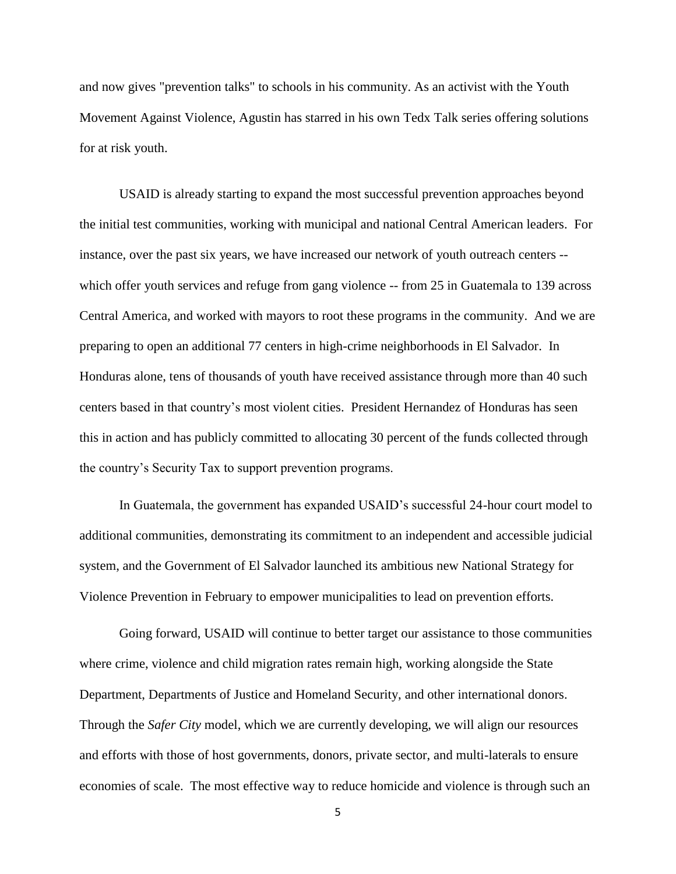and now gives "prevention talks" to schools in his community. As an activist with the Youth Movement Against Violence, Agustin has starred in his own Tedx Talk series offering solutions for at risk youth.

USAID is already starting to expand the most successful prevention approaches beyond the initial test communities, working with municipal and national Central American leaders. For instance, over the past six years, we have increased our network of youth outreach centers - which offer youth services and refuge from gang violence -- from 25 in Guatemala to 139 across Central America, and worked with mayors to root these programs in the community. And we are preparing to open an additional 77 centers in high-crime neighborhoods in El Salvador. In Honduras alone, tens of thousands of youth have received assistance through more than 40 such centers based in that country's most violent cities. President Hernandez of Honduras has seen this in action and has publicly committed to allocating 30 percent of the funds collected through the country's Security Tax to support prevention programs.

In Guatemala, the government has expanded USAID's successful 24-hour court model to additional communities, demonstrating its commitment to an independent and accessible judicial system, and the Government of El Salvador launched its ambitious new National Strategy for Violence Prevention in February to empower municipalities to lead on prevention efforts.

Going forward, USAID will continue to better target our assistance to those communities where crime, violence and child migration rates remain high, working alongside the State Department, Departments of Justice and Homeland Security, and other international donors. Through the *Safer City* model, which we are currently developing, we will align our resources and efforts with those of host governments, donors, private sector, and multi-laterals to ensure economies of scale. The most effective way to reduce homicide and violence is through such an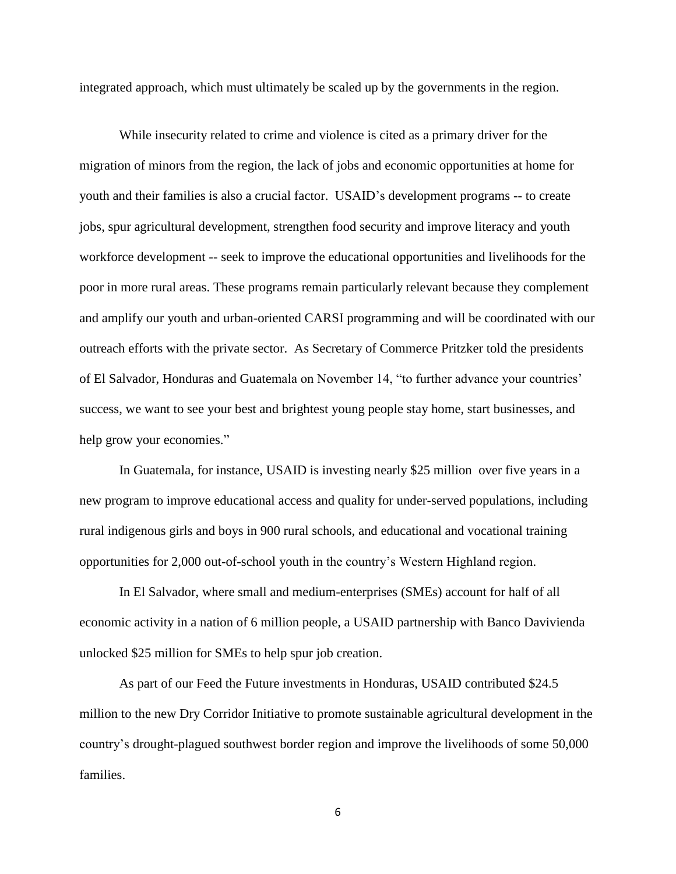integrated approach, which must ultimately be scaled up by the governments in the region.

While insecurity related to crime and violence is cited as a primary driver for the migration of minors from the region, the lack of jobs and economic opportunities at home for youth and their families is also a crucial factor. USAID's development programs -- to create jobs, spur agricultural development, strengthen food security and improve literacy and youth workforce development -- seek to improve the educational opportunities and livelihoods for the poor in more rural areas. These programs remain particularly relevant because they complement and amplify our youth and urban-oriented CARSI programming and will be coordinated with our outreach efforts with the private sector. As Secretary of Commerce Pritzker told the presidents of El Salvador, Honduras and Guatemala on November 14, "to further advance your countries' success, we want to see your best and brightest young people stay home, start businesses, and help grow your economies."

In Guatemala, for instance, USAID is investing nearly \$25 million over five years in a new program to improve educational access and quality for under-served populations, including rural indigenous girls and boys in 900 rural schools, and educational and vocational training opportunities for 2,000 out-of-school youth in the country's Western Highland region.

In El Salvador, where small and medium-enterprises (SMEs) account for half of all economic activity in a nation of 6 million people, a USAID partnership with Banco Davivienda unlocked \$25 million for SMEs to help spur job creation.

As part of our Feed the Future investments in Honduras, USAID contributed \$24.5 million to the new Dry Corridor Initiative to promote sustainable agricultural development in the country's drought-plagued southwest border region and improve the livelihoods of some 50,000 families.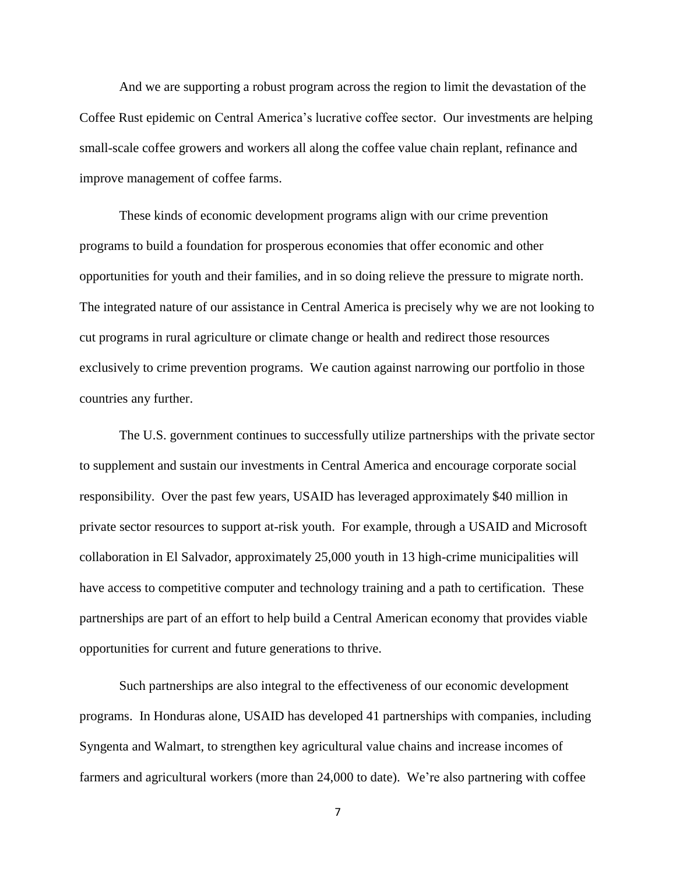And we are supporting a robust program across the region to limit the devastation of the Coffee Rust epidemic on Central America's lucrative coffee sector. Our investments are helping small-scale coffee growers and workers all along the coffee value chain replant, refinance and improve management of coffee farms.

These kinds of economic development programs align with our crime prevention programs to build a foundation for prosperous economies that offer economic and other opportunities for youth and their families, and in so doing relieve the pressure to migrate north. The integrated nature of our assistance in Central America is precisely why we are not looking to cut programs in rural agriculture or climate change or health and redirect those resources exclusively to crime prevention programs. We caution against narrowing our portfolio in those countries any further.

The U.S. government continues to successfully utilize partnerships with the private sector to supplement and sustain our investments in Central America and encourage corporate social responsibility. Over the past few years, USAID has leveraged approximately \$40 million in private sector resources to support at-risk youth. For example, through a USAID and Microsoft collaboration in El Salvador, approximately 25,000 youth in 13 high-crime municipalities will have access to competitive computer and technology training and a path to certification. These partnerships are part of an effort to help build a Central American economy that provides viable opportunities for current and future generations to thrive.

Such partnerships are also integral to the effectiveness of our economic development programs. In Honduras alone, USAID has developed 41 partnerships with companies, including Syngenta and Walmart, to strengthen key agricultural value chains and increase incomes of farmers and agricultural workers (more than 24,000 to date). We're also partnering with coffee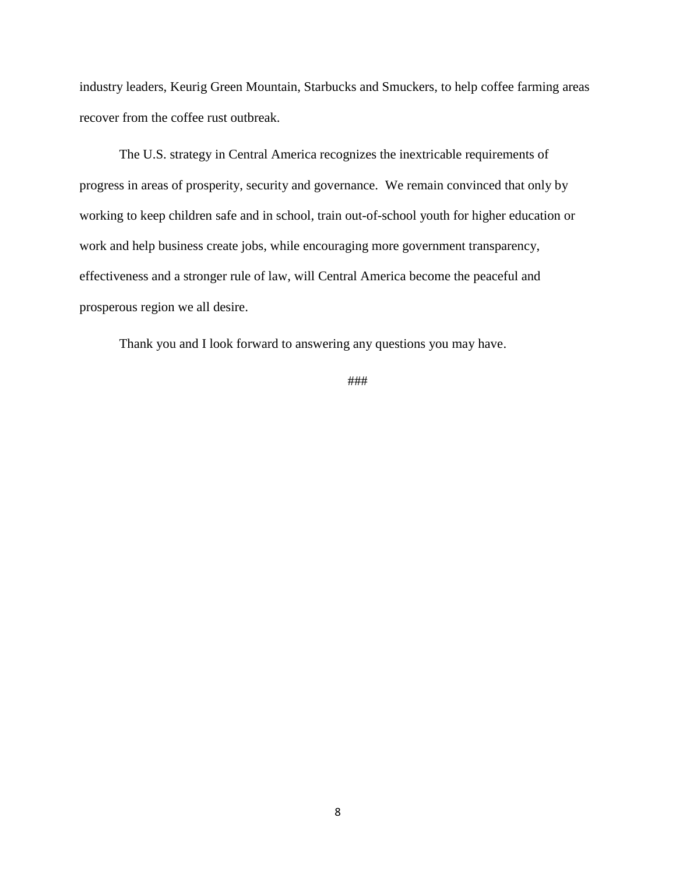industry leaders, Keurig Green Mountain, Starbucks and Smuckers, to help coffee farming areas recover from the coffee rust outbreak.

The U.S. strategy in Central America recognizes the inextricable requirements of progress in areas of prosperity, security and governance. We remain convinced that only by working to keep children safe and in school, train out-of-school youth for higher education or work and help business create jobs, while encouraging more government transparency, effectiveness and a stronger rule of law, will Central America become the peaceful and prosperous region we all desire.

Thank you and I look forward to answering any questions you may have.

###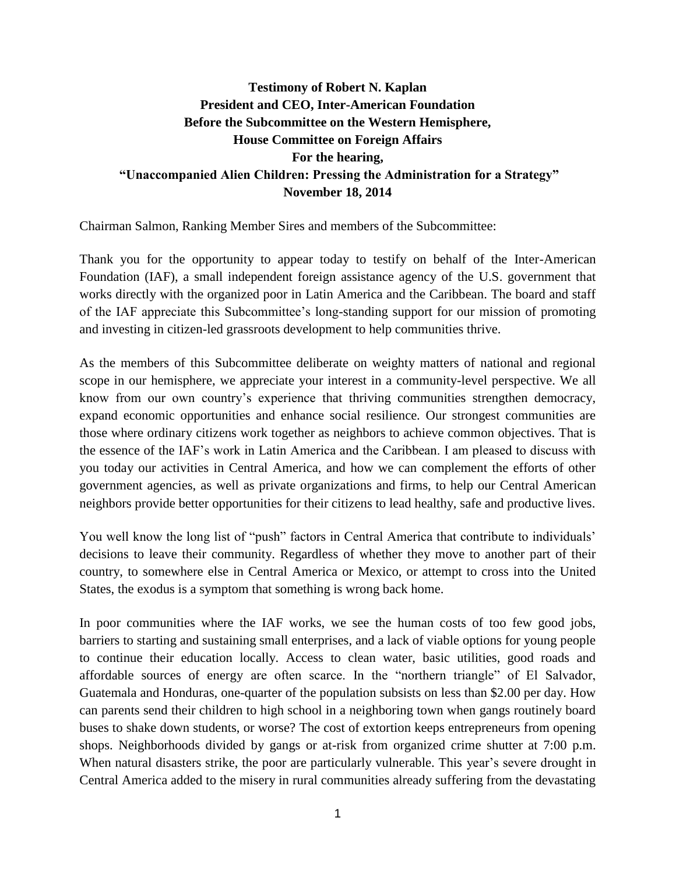## <span id="page-15-0"></span>**Testimony of Robert N. Kaplan President and CEO, Inter-American Foundation Before the Subcommittee on the Western Hemisphere, House Committee on Foreign Affairs For the hearing, "Unaccompanied Alien Children: Pressing the Administration for a Strategy" November 18, 2014**

Chairman Salmon, Ranking Member Sires and members of the Subcommittee:

Thank you for the opportunity to appear today to testify on behalf of the Inter-American Foundation (IAF), a small independent foreign assistance agency of the U.S. government that works directly with the organized poor in Latin America and the Caribbean. The board and staff of the IAF appreciate this Subcommittee's long-standing support for our mission of promoting and investing in citizen-led grassroots development to help communities thrive.

As the members of this Subcommittee deliberate on weighty matters of national and regional scope in our hemisphere, we appreciate your interest in a community-level perspective. We all know from our own country's experience that thriving communities strengthen democracy, expand economic opportunities and enhance social resilience. Our strongest communities are those where ordinary citizens work together as neighbors to achieve common objectives. That is the essence of the IAF's work in Latin America and the Caribbean. I am pleased to discuss with you today our activities in Central America, and how we can complement the efforts of other government agencies, as well as private organizations and firms, to help our Central American neighbors provide better opportunities for their citizens to lead healthy, safe and productive lives.

You well know the long list of "push" factors in Central America that contribute to individuals' decisions to leave their community. Regardless of whether they move to another part of their country, to somewhere else in Central America or Mexico, or attempt to cross into the United States, the exodus is a symptom that something is wrong back home.

In poor communities where the IAF works, we see the human costs of too few good jobs, barriers to starting and sustaining small enterprises, and a lack of viable options for young people to continue their education locally. Access to clean water, basic utilities, good roads and affordable sources of energy are often scarce. In the "northern triangle" of El Salvador, Guatemala and Honduras, one-quarter of the population subsists on less than \$2.00 per day. How can parents send their children to high school in a neighboring town when gangs routinely board buses to shake down students, or worse? The cost of extortion keeps entrepreneurs from opening shops. Neighborhoods divided by gangs or at-risk from organized crime shutter at 7:00 p.m. When natural disasters strike, the poor are particularly vulnerable. This year's severe drought in Central America added to the misery in rural communities already suffering from the devastating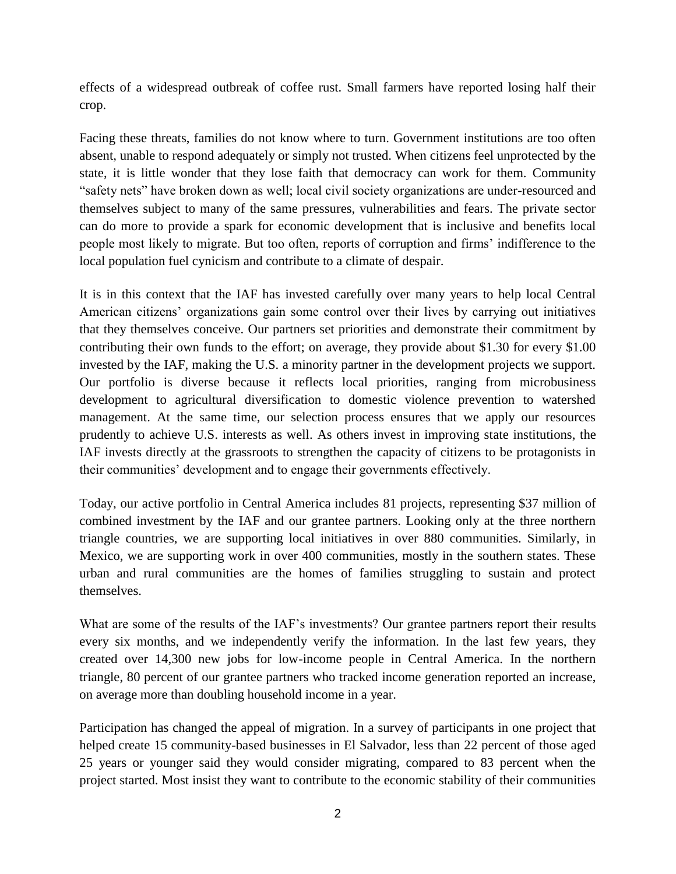effects of a widespread outbreak of coffee rust. Small farmers have reported losing half their crop.

Facing these threats, families do not know where to turn. Government institutions are too often absent, unable to respond adequately or simply not trusted. When citizens feel unprotected by the state, it is little wonder that they lose faith that democracy can work for them. Community "safety nets" have broken down as well; local civil society organizations are under-resourced and themselves subject to many of the same pressures, vulnerabilities and fears. The private sector can do more to provide a spark for economic development that is inclusive and benefits local people most likely to migrate. But too often, reports of corruption and firms' indifference to the local population fuel cynicism and contribute to a climate of despair.

It is in this context that the IAF has invested carefully over many years to help local Central American citizens' organizations gain some control over their lives by carrying out initiatives that they themselves conceive. Our partners set priorities and demonstrate their commitment by contributing their own funds to the effort; on average, they provide about \$1.30 for every \$1.00 invested by the IAF, making the U.S. a minority partner in the development projects we support. Our portfolio is diverse because it reflects local priorities, ranging from microbusiness development to agricultural diversification to domestic violence prevention to watershed management. At the same time, our selection process ensures that we apply our resources prudently to achieve U.S. interests as well. As others invest in improving state institutions, the IAF invests directly at the grassroots to strengthen the capacity of citizens to be protagonists in their communities' development and to engage their governments effectively.

Today, our active portfolio in Central America includes 81 projects, representing \$37 million of combined investment by the IAF and our grantee partners. Looking only at the three northern triangle countries, we are supporting local initiatives in over 880 communities. Similarly, in Mexico, we are supporting work in over 400 communities, mostly in the southern states. These urban and rural communities are the homes of families struggling to sustain and protect themselves.

What are some of the results of the IAF's investments? Our grantee partners report their results every six months, and we independently verify the information. In the last few years, they created over 14,300 new jobs for low-income people in Central America. In the northern triangle, 80 percent of our grantee partners who tracked income generation reported an increase, on average more than doubling household income in a year.

Participation has changed the appeal of migration. In a survey of participants in one project that helped create 15 community-based businesses in El Salvador, less than 22 percent of those aged 25 years or younger said they would consider migrating, compared to 83 percent when the project started. Most insist they want to contribute to the economic stability of their communities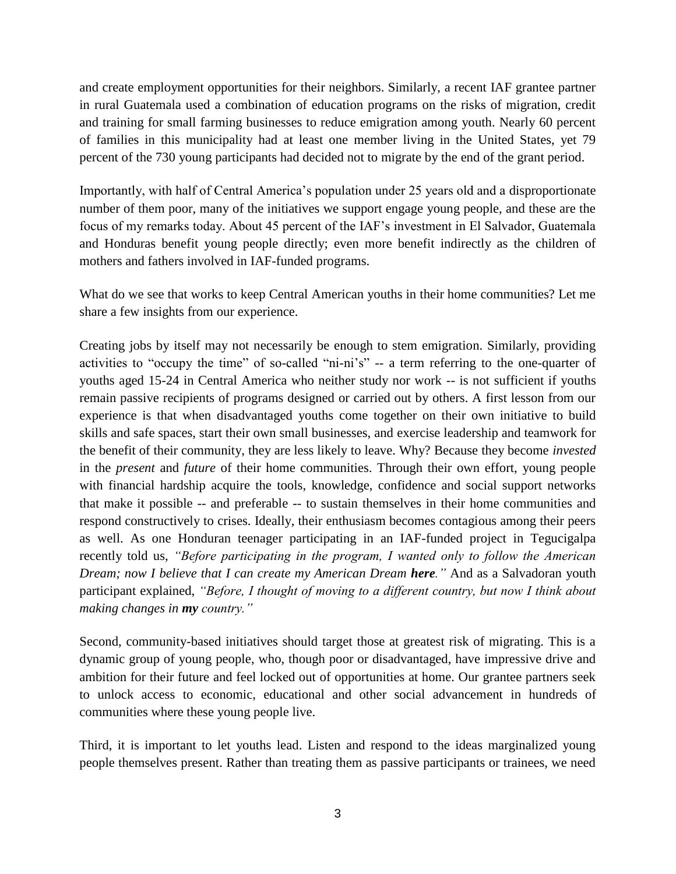and create employment opportunities for their neighbors. Similarly, a recent IAF grantee partner in rural Guatemala used a combination of education programs on the risks of migration, credit and training for small farming businesses to reduce emigration among youth. Nearly 60 percent of families in this municipality had at least one member living in the United States, yet 79 percent of the 730 young participants had decided not to migrate by the end of the grant period.

Importantly, with half of Central America's population under 25 years old and a disproportionate number of them poor, many of the initiatives we support engage young people, and these are the focus of my remarks today. About 45 percent of the IAF's investment in El Salvador, Guatemala and Honduras benefit young people directly; even more benefit indirectly as the children of mothers and fathers involved in IAF-funded programs.

What do we see that works to keep Central American youths in their home communities? Let me share a few insights from our experience.

Creating jobs by itself may not necessarily be enough to stem emigration. Similarly, providing activities to "occupy the time" of so-called "ni-ni's" -- a term referring to the one-quarter of youths aged 15-24 in Central America who neither study nor work -- is not sufficient if youths remain passive recipients of programs designed or carried out by others. A first lesson from our experience is that when disadvantaged youths come together on their own initiative to build skills and safe spaces, start their own small businesses, and exercise leadership and teamwork for the benefit of their community, they are less likely to leave. Why? Because they become *invested* in the *present* and *future* of their home communities. Through their own effort, young people with financial hardship acquire the tools, knowledge, confidence and social support networks that make it possible -- and preferable -- to sustain themselves in their home communities and respond constructively to crises. Ideally, their enthusiasm becomes contagious among their peers as well. As one Honduran teenager participating in an IAF-funded project in Tegucigalpa recently told us, *"Before participating in the program, I wanted only to follow the American Dream; now I believe that I can create my American <i>Dream here*." And as a Salvadoran youth participant explained, *"Before, I thought of moving to a different country, but now I think about making changes in my country."*

Second, community-based initiatives should target those at greatest risk of migrating. This is a dynamic group of young people, who, though poor or disadvantaged, have impressive drive and ambition for their future and feel locked out of opportunities at home. Our grantee partners seek to unlock access to economic, educational and other social advancement in hundreds of communities where these young people live.

Third, it is important to let youths lead. Listen and respond to the ideas marginalized young people themselves present. Rather than treating them as passive participants or trainees, we need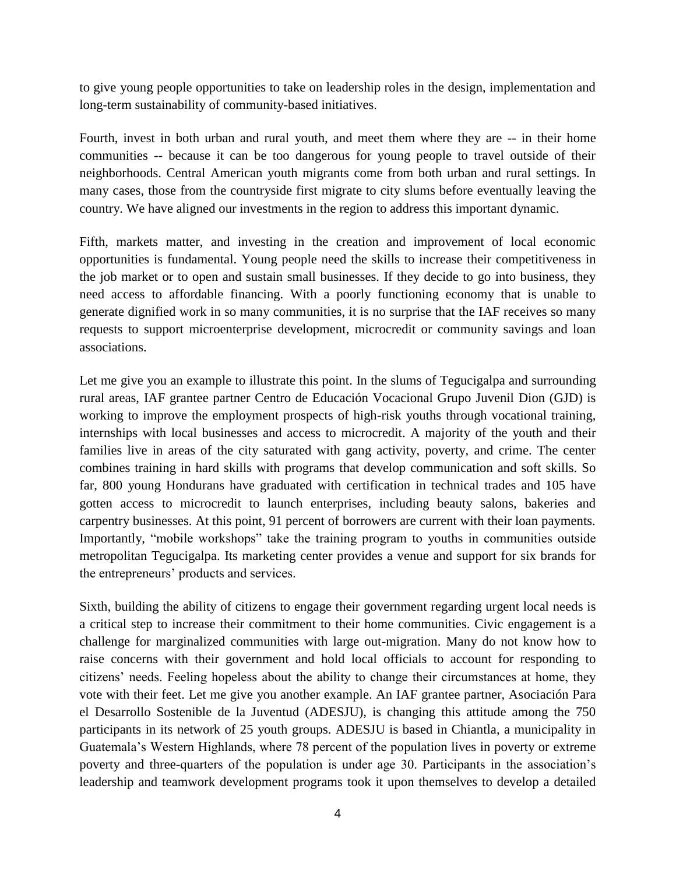to give young people opportunities to take on leadership roles in the design, implementation and long-term sustainability of community-based initiatives.

Fourth, invest in both urban and rural youth, and meet them where they are -- in their home communities -- because it can be too dangerous for young people to travel outside of their neighborhoods. Central American youth migrants come from both urban and rural settings. In many cases, those from the countryside first migrate to city slums before eventually leaving the country. We have aligned our investments in the region to address this important dynamic.

Fifth, markets matter, and investing in the creation and improvement of local economic opportunities is fundamental. Young people need the skills to increase their competitiveness in the job market or to open and sustain small businesses. If they decide to go into business, they need access to affordable financing. With a poorly functioning economy that is unable to generate dignified work in so many communities, it is no surprise that the IAF receives so many requests to support microenterprise development, microcredit or community savings and loan associations.

Let me give you an example to illustrate this point. In the slums of Tegucigalpa and surrounding rural areas, IAF grantee partner Centro de Educación Vocacional Grupo Juvenil Dion (GJD) is working to improve the employment prospects of high-risk youths through vocational training, internships with local businesses and access to microcredit. A majority of the youth and their families live in areas of the city saturated with gang activity, poverty, and crime. The center combines training in hard skills with programs that develop communication and soft skills. So far, 800 young Hondurans have graduated with certification in technical trades and 105 have gotten access to microcredit to launch enterprises, including beauty salons, bakeries and carpentry businesses. At this point, 91 percent of borrowers are current with their loan payments. Importantly, "mobile workshops" take the training program to youths in communities outside metropolitan Tegucigalpa. Its marketing center provides a venue and support for six brands for the entrepreneurs' products and services.

Sixth, building the ability of citizens to engage their government regarding urgent local needs is a critical step to increase their commitment to their home communities. Civic engagement is a challenge for marginalized communities with large out-migration. Many do not know how to raise concerns with their government and hold local officials to account for responding to citizens' needs. Feeling hopeless about the ability to change their circumstances at home, they vote with their feet. Let me give you another example. An IAF grantee partner, Asociación Para el Desarrollo Sostenible de la Juventud (ADESJU), is changing this attitude among the 750 participants in its network of 25 youth groups. ADESJU is based in Chiantla, a municipality in Guatemala's Western Highlands, where 78 percent of the population lives in poverty or extreme poverty and three-quarters of the population is under age 30. Participants in the association's leadership and teamwork development programs took it upon themselves to develop a detailed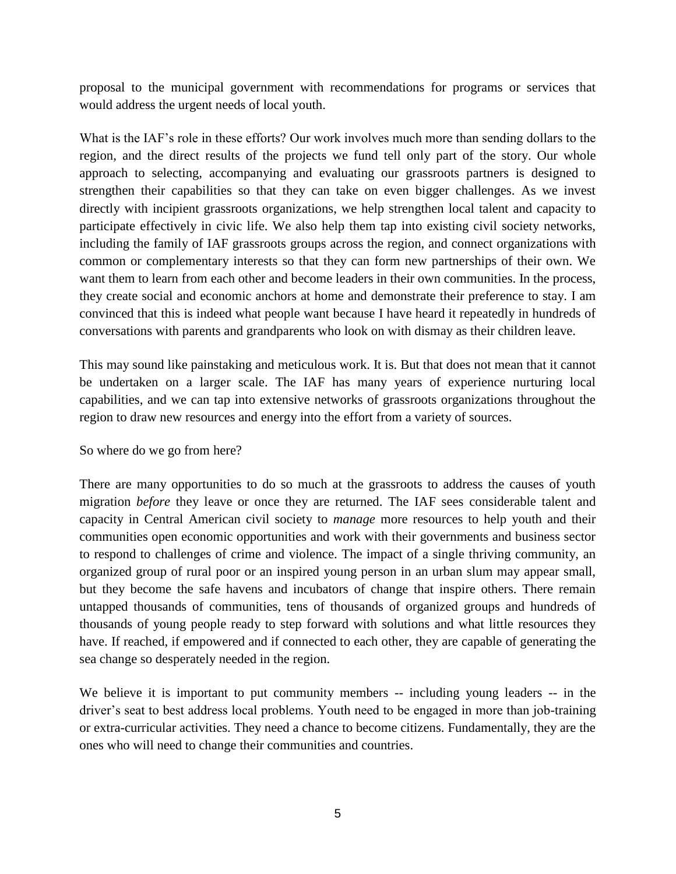proposal to the municipal government with recommendations for programs or services that would address the urgent needs of local youth.

What is the IAF's role in these efforts? Our work involves much more than sending dollars to the region, and the direct results of the projects we fund tell only part of the story. Our whole approach to selecting, accompanying and evaluating our grassroots partners is designed to strengthen their capabilities so that they can take on even bigger challenges. As we invest directly with incipient grassroots organizations, we help strengthen local talent and capacity to participate effectively in civic life. We also help them tap into existing civil society networks, including the family of IAF grassroots groups across the region, and connect organizations with common or complementary interests so that they can form new partnerships of their own. We want them to learn from each other and become leaders in their own communities. In the process, they create social and economic anchors at home and demonstrate their preference to stay. I am convinced that this is indeed what people want because I have heard it repeatedly in hundreds of conversations with parents and grandparents who look on with dismay as their children leave.

This may sound like painstaking and meticulous work. It is. But that does not mean that it cannot be undertaken on a larger scale. The IAF has many years of experience nurturing local capabilities, and we can tap into extensive networks of grassroots organizations throughout the region to draw new resources and energy into the effort from a variety of sources.

#### So where do we go from here?

There are many opportunities to do so much at the grassroots to address the causes of youth migration *before* they leave or once they are returned. The IAF sees considerable talent and capacity in Central American civil society to *manage* more resources to help youth and their communities open economic opportunities and work with their governments and business sector to respond to challenges of crime and violence. The impact of a single thriving community, an organized group of rural poor or an inspired young person in an urban slum may appear small, but they become the safe havens and incubators of change that inspire others. There remain untapped thousands of communities, tens of thousands of organized groups and hundreds of thousands of young people ready to step forward with solutions and what little resources they have. If reached, if empowered and if connected to each other, they are capable of generating the sea change so desperately needed in the region.

We believe it is important to put community members  $-$  including young leaders  $-$  in the driver's seat to best address local problems. Youth need to be engaged in more than job-training or extra-curricular activities. They need a chance to become citizens. Fundamentally, they are the ones who will need to change their communities and countries.